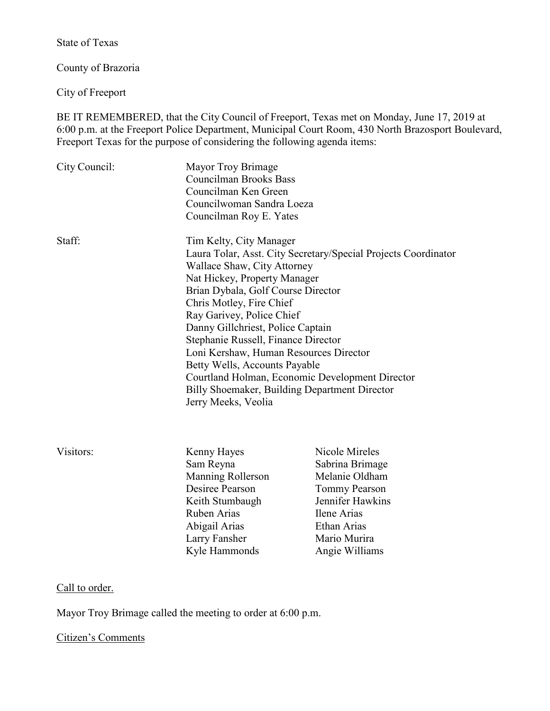State of Texas

County of Brazoria

City of Freeport

BE IT REMEMBERED, that the City Council of Freeport, Texas met on Monday, June 17, 2019 at 6:00 p.m. at the Freeport Police Department, Municipal Court Room, 430 North Brazosport Boulevard, Freeport Texas for the purpose of considering the following agenda items:

| City Council: | Mayor Troy Brimage<br><b>Councilman Brooks Bass</b><br>Councilman Ken Green<br>Councilwoman Sandra Loeza<br>Councilman Roy E. Yates                                                                                                                                                                                                                                                                                                                                                                                                       |                                                                                                                                                                 |
|---------------|-------------------------------------------------------------------------------------------------------------------------------------------------------------------------------------------------------------------------------------------------------------------------------------------------------------------------------------------------------------------------------------------------------------------------------------------------------------------------------------------------------------------------------------------|-----------------------------------------------------------------------------------------------------------------------------------------------------------------|
| Staff:        | Tim Kelty, City Manager<br>Laura Tolar, Asst. City Secretary/Special Projects Coordinator<br>Wallace Shaw, City Attorney<br>Nat Hickey, Property Manager<br>Brian Dybala, Golf Course Director<br>Chris Motley, Fire Chief<br>Ray Garivey, Police Chief<br>Danny Gillchriest, Police Captain<br>Stephanie Russell, Finance Director<br>Loni Kershaw, Human Resources Director<br>Betty Wells, Accounts Payable<br>Courtland Holman, Economic Development Director<br>Billy Shoemaker, Building Department Director<br>Jerry Meeks, Veolia |                                                                                                                                                                 |
| Visitors:     | Kenny Hayes<br>Sam Reyna<br>Manning Rollerson<br>Desiree Pearson<br>Keith Stumbaugh<br>Ruben Arias<br>Abigail Arias<br>Larry Fansher<br>Kyle Hammonds                                                                                                                                                                                                                                                                                                                                                                                     | Nicole Mireles<br>Sabrina Brimage<br>Melanie Oldham<br><b>Tommy Pearson</b><br>Jennifer Hawkins<br>Ilene Arias<br>Ethan Arias<br>Mario Murira<br>Angie Williams |

# Call to order.

Mayor Troy Brimage called the meeting to order at 6:00 p.m.

# Citizen's Comments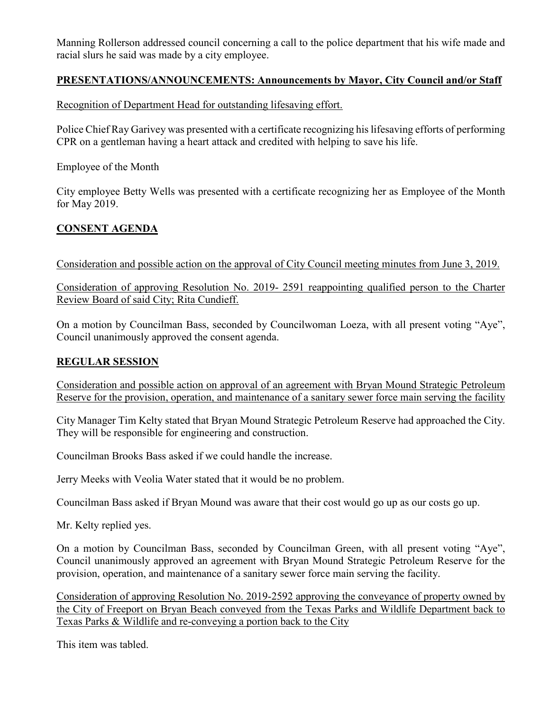Manning Rollerson addressed council concerning a call to the police department that his wife made and racial slurs he said was made by a city employee.

# **PRESENTATIONS/ANNOUNCEMENTS: Announcements by Mayor, City Council and/or Staff**

Recognition of Department Head for outstanding lifesaving effort.

Police Chief Ray Garivey was presented with a certificate recognizing his lifesaving efforts of performing CPR on a gentleman having a heart attack and credited with helping to save his life.

Employee of the Month

City employee Betty Wells was presented with a certificate recognizing her as Employee of the Month for May 2019.

# **CONSENT AGENDA**

Consideration and possible action on the approval of City Council meeting minutes from June 3, 2019.

Consideration of approving Resolution No. 2019- 2591 reappointing qualified person to the Charter Review Board of said City; Rita Cundieff.

On a motion by Councilman Bass, seconded by Councilwoman Loeza, with all present voting "Aye", Council unanimously approved the consent agenda.

### **REGULAR SESSION**

Consideration and possible action on approval of an agreement with Bryan Mound Strategic Petroleum Reserve for the provision, operation, and maintenance of a sanitary sewer force main serving the facility

City Manager Tim Kelty stated that Bryan Mound Strategic Petroleum Reserve had approached the City. They will be responsible for engineering and construction.

Councilman Brooks Bass asked if we could handle the increase.

Jerry Meeks with Veolia Water stated that it would be no problem.

Councilman Bass asked if Bryan Mound was aware that their cost would go up as our costs go up.

Mr. Kelty replied yes.

On a motion by Councilman Bass, seconded by Councilman Green, with all present voting "Aye", Council unanimously approved an agreement with Bryan Mound Strategic Petroleum Reserve for the provision, operation, and maintenance of a sanitary sewer force main serving the facility.

Consideration of approving Resolution No. 2019-2592 approving the conveyance of property owned by the City of Freeport on Bryan Beach conveyed from the Texas Parks and Wildlife Department back to Texas Parks & Wildlife and re-conveying a portion back to the City

This item was tabled.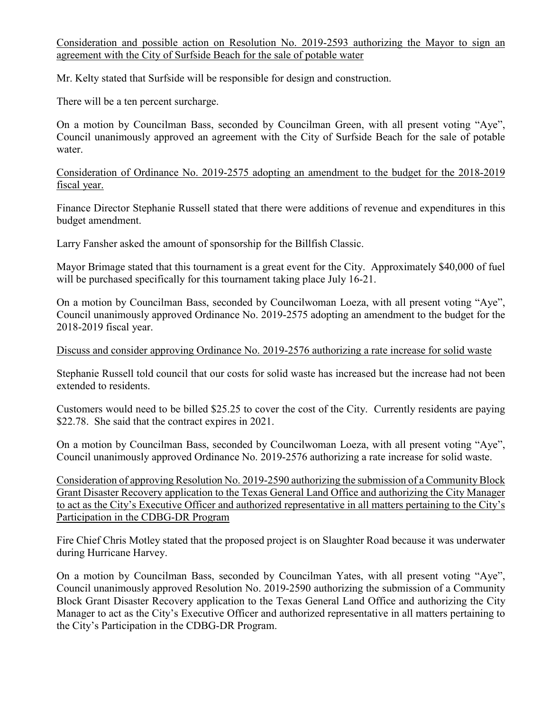Consideration and possible action on Resolution No. 2019-2593 authorizing the Mayor to sign an agreement with the City of Surfside Beach for the sale of potable water

Mr. Kelty stated that Surfside will be responsible for design and construction.

There will be a ten percent surcharge.

On a motion by Councilman Bass, seconded by Councilman Green, with all present voting "Aye", Council unanimously approved an agreement with the City of Surfside Beach for the sale of potable water.

Consideration of Ordinance No. 2019-2575 adopting an amendment to the budget for the 2018-2019 fiscal year.

Finance Director Stephanie Russell stated that there were additions of revenue and expenditures in this budget amendment.

Larry Fansher asked the amount of sponsorship for the Billfish Classic.

Mayor Brimage stated that this tournament is a great event for the City. Approximately \$40,000 of fuel will be purchased specifically for this tournament taking place July 16-21.

On a motion by Councilman Bass, seconded by Councilwoman Loeza, with all present voting "Aye", Council unanimously approved Ordinance No. 2019-2575 adopting an amendment to the budget for the 2018-2019 fiscal year.

Discuss and consider approving Ordinance No. 2019-2576 authorizing a rate increase for solid waste

Stephanie Russell told council that our costs for solid waste has increased but the increase had not been extended to residents.

Customers would need to be billed \$25.25 to cover the cost of the City. Currently residents are paying \$22.78. She said that the contract expires in 2021.

On a motion by Councilman Bass, seconded by Councilwoman Loeza, with all present voting "Aye", Council unanimously approved Ordinance No. 2019-2576 authorizing a rate increase for solid waste.

Consideration of approving Resolution No. 2019-2590 authorizing the submission of a Community Block Grant Disaster Recovery application to the Texas General Land Office and authorizing the City Manager to act as the City's Executive Officer and authorized representative in all matters pertaining to the City's Participation in the CDBG-DR Program

Fire Chief Chris Motley stated that the proposed project is on Slaughter Road because it was underwater during Hurricane Harvey.

On a motion by Councilman Bass, seconded by Councilman Yates, with all present voting "Aye", Council unanimously approved Resolution No. 2019-2590 authorizing the submission of a Community Block Grant Disaster Recovery application to the Texas General Land Office and authorizing the City Manager to act as the City's Executive Officer and authorized representative in all matters pertaining to the City's Participation in the CDBG-DR Program.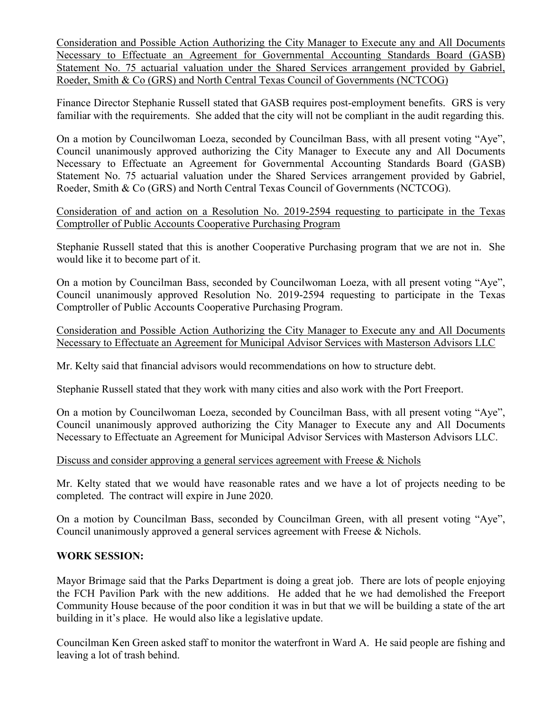Consideration and Possible Action Authorizing the City Manager to Execute any and All Documents Necessary to Effectuate an Agreement for Governmental Accounting Standards Board (GASB) Statement No. 75 actuarial valuation under the Shared Services arrangement provided by Gabriel, Roeder, Smith & Co (GRS) and North Central Texas Council of Governments (NCTCOG)

Finance Director Stephanie Russell stated that GASB requires post-employment benefits. GRS is very familiar with the requirements. She added that the city will not be compliant in the audit regarding this.

On a motion by Councilwoman Loeza, seconded by Councilman Bass, with all present voting "Aye", Council unanimously approved authorizing the City Manager to Execute any and All Documents Necessary to Effectuate an Agreement for Governmental Accounting Standards Board (GASB) Statement No. 75 actuarial valuation under the Shared Services arrangement provided by Gabriel, Roeder, Smith & Co (GRS) and North Central Texas Council of Governments (NCTCOG).

Consideration of and action on a Resolution No. 2019-2594 requesting to participate in the Texas Comptroller of Public Accounts Cooperative Purchasing Program

Stephanie Russell stated that this is another Cooperative Purchasing program that we are not in. She would like it to become part of it.

On a motion by Councilman Bass, seconded by Councilwoman Loeza, with all present voting "Aye", Council unanimously approved Resolution No. 2019-2594 requesting to participate in the Texas Comptroller of Public Accounts Cooperative Purchasing Program.

Consideration and Possible Action Authorizing the City Manager to Execute any and All Documents Necessary to Effectuate an Agreement for Municipal Advisor Services with Masterson Advisors LLC

Mr. Kelty said that financial advisors would recommendations on how to structure debt.

Stephanie Russell stated that they work with many cities and also work with the Port Freeport.

On a motion by Councilwoman Loeza, seconded by Councilman Bass, with all present voting "Aye", Council unanimously approved authorizing the City Manager to Execute any and All Documents Necessary to Effectuate an Agreement for Municipal Advisor Services with Masterson Advisors LLC.

#### Discuss and consider approving a general services agreement with Freese & Nichols

Mr. Kelty stated that we would have reasonable rates and we have a lot of projects needing to be completed. The contract will expire in June 2020.

On a motion by Councilman Bass, seconded by Councilman Green, with all present voting "Aye", Council unanimously approved a general services agreement with Freese & Nichols.

#### **WORK SESSION:**

Mayor Brimage said that the Parks Department is doing a great job. There are lots of people enjoying the FCH Pavilion Park with the new additions. He added that he we had demolished the Freeport Community House because of the poor condition it was in but that we will be building a state of the art building in it's place. He would also like a legislative update.

Councilman Ken Green asked staff to monitor the waterfront in Ward A. He said people are fishing and leaving a lot of trash behind.